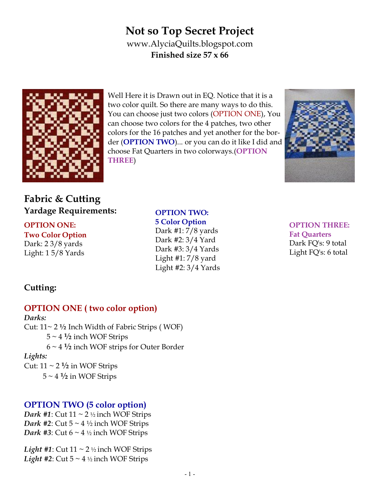# **Not so Top Secret Project**  www.AlyciaQuilts.blogspot.com **Finished size 57 x 66**



Well Here it is Drawn out in EQ. Notice that it is a two color quilt. So there are many ways to do this. You can choose just two colors (OPTION ONE), You can choose two colors for the 4 patches, two other colors for the 16 patches and yet another for the border (**OPTION TWO**)... or you can do it like I did and choose Fat Quarters in two colorways.(**OPTION THREE**)



# **Fabric & Cutting Yardage Requirements:**

#### **OPTION ONE: Two Color Option**

Dark: 2 3/8 yards Light: 1 5/8 Yards **OPTION TWO: 5 Color Option** Dark #1: 7/8 yards Dark #2: 3/4 Yard

> Dark #3: 3/4 Yards Light  $\#1: 7/8$  yard Light #2: 3/4 Yards

**OPTION THREE: Fat Quarters** Dark FQ's: 9 total Light FQ's: 6 total

## **Cutting:**

## **OPTION ONE ( two color option)**

#### *Darks:*

Cut: 11~ 2 **½** Inch Width of Fabric Strips ( WOF)

- $5 \sim 4 \frac{1}{2}$  inch WOF Strips
- 6 ~ 4 **½** inch WOF strips for Outer Border

#### *Lights:*

Cut:  $11 \sim 2 \frac{1}{2}$  in WOF Strips

 $5 \sim 4 \frac{1}{2}$  in WOF Strips

## **OPTION TWO (5 color option)**

*Dark* #1: Cut  $11 \sim 2$  ½ inch WOF Strips *Dark* #2: Cut  $5 \sim 4 \frac{1}{2}$  inch WOF Strips *Dark #3*: Cut  $6 \sim 4 \frac{1}{2}$  inch WOF Strips

*Light #1*: Cut  $11 \sim 2$  ½ inch WOF Strips *Light #2*: Cut  $5 \sim 4 \frac{1}{2}$  inch WOF Strips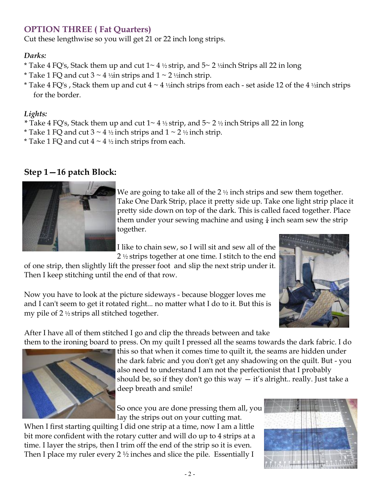## **OPTION THREE ( Fat Quarters)**

Cut these lengthwise so you will get 21 or 22 inch long strips.

#### *Darks:*

- \* Take 4 FQ's, Stack them up and cut  $1 \sim 4 \frac{1}{2}$  strip, and  $5 \sim 2 \frac{1}{2}$  inch Strips all 22 in long
- \* Take 1 FQ and cut  $3 \sim 4$  ½in strips and  $1 \sim 2$  ½inch strip.
- \* Take 4 FQ's, Stack them up and cut  $4 \sim 4$  ½inch strips from each set aside 12 of the 4 ½inch strips for the border.

#### *Lights:*

- *\** Take 4 FQ's, Stack them up and cut 1~ 4 ½ strip, and 5~ 2 ½ inch Strips all 22 in long
- \* Take 1 FQ and cut  $3 \sim 4$  ½ inch strips and  $1 \sim 2$  ½ inch strip.
- \* Take 1 FQ and cut  $4 \sim 4$  ½ inch strips from each.

#### **Step 1—16 patch Block:**



We are going to take all of the 2  $\frac{1}{2}$  inch strips and sew them together. Take One Dark Strip, place it pretty side up. Take one light strip place it pretty side down on top of the dark. This is called faced together. Place them under your sewing machine and using  $\frac{1}{4}$  inch seam sew the strip together.

I like to chain sew, so I will sit and sew all of the 2 ½ strips together at one time. I stitch to the end

of one strip, then slightly lift the presser foot and slip the next strip under it. Then I keep stitching until the end of that row.



Now you have to look at the picture sideways - because blogger loves me and I can't seem to get it rotated right... no matter what I do to it. But this is my pile of 2 ½ strips all stitched together.

After I have all of them stitched I go and clip the threads between and take them to the ironing board to press. On my quilt I pressed all the seams towards the dark fabric. I do



this so that when it comes time to quilt it, the seams are hidden under the dark fabric and you don't get any shadowing on the quilt. But - you also need to understand I am not the perfectionist that I probably should be, so if they don't go this way  $-$  it's alright.. really. Just take a deep breath and smile!

So once you are done pressing them all, you lay the strips out on your cutting mat.

When I first starting quilting I did one strip at a time, now I am a little bit more confident with the rotary cutter and will do up to 4 strips at a time. I layer the strips, then I trim off the end of the strip so it is even. Then I place my ruler every  $2\frac{1}{2}$  inches and slice the pile. Essentially I

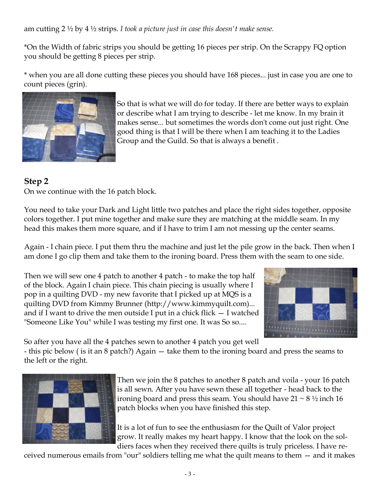am cutting 2 ½ by 4 ½ strips. *I took a picture just in case this doesn't make sense.* 

\*On the Width of fabric strips you should be getting 16 pieces per strip. On the Scrappy FQ option you should be getting 8 pieces per strip.

\* when you are all done cutting these pieces you should have 168 pieces... just in case you are one to count pieces (grin).



So that is what we will do for today. If there are better ways to explain or describe what I am trying to describe - let me know. In my brain it makes sense... but sometimes the words don't come out just right. One good thing is that I will be there when I am teaching it to the Ladies Group and the Guild. So that is always a benefit .

## **Step 2**

On we continue with the 16 patch block.

You need to take your Dark and Light little two patches and place the right sides together, opposite colors together. I put mine together and make sure they are matching at the middle seam. In my head this makes them more square, and if I have to trim I am not messing up the center seams.

Again - I chain piece. I put them thru the machine and just let the pile grow in the back. Then when I am done I go clip them and take them to the ironing board. Press them with the seam to one side.

Then we will sew one 4 patch to another 4 patch - to make the top half of the block. Again I chain piece. This chain piecing is usually where I pop in a quilting DVD - my new favorite that I picked up at MQS is a quilting DVD from Kimmy Brunner (http://www.kimmyquilt.com)... and if I want to drive the men outside I put in a chick flick — I watched "Someone Like You" while I was testing my first one. It was So so....



So after you have all the 4 patches sewn to another 4 patch you get well

- this pic below ( is it an 8 patch?) Again — take them to the ironing board and press the seams to the left or the right.



Then we join the 8 patches to another 8 patch and voila - your 16 patch is all sewn. After you have sewn these all together - head back to the ironing board and press this seam. You should have  $21 \sim 8 \frac{1}{2}$  inch 16 patch blocks when you have finished this step.

It is a lot of fun to see the enthusiasm for the Quilt of Valor project grow. It really makes my heart happy. I know that the look on the soldiers faces when they received there quilts is truly priceless. I have re-

ceived numerous emails from "our" soldiers telling me what the quilt means to them — and it makes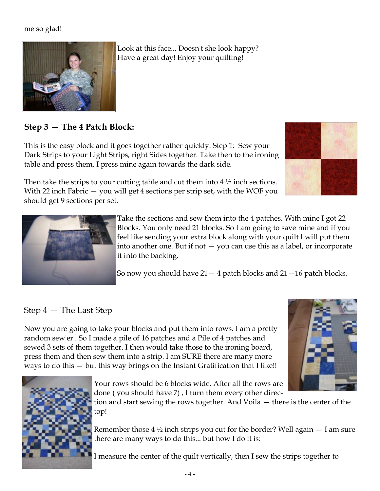#### me so glad!



Look at this face... Doesn't she look happy? Have a great day! Enjoy your quilting!

#### **Step 3 — The 4 Patch Block:**

This is the easy block and it goes together rather quickly. Step 1: Sew your Dark Strips to your Light Strips, right Sides together. Take then to the ironing table and press them. I press mine again towards the dark side.

Then take the strips to your cutting table and cut them into  $4\frac{1}{2}$  inch sections. With 22 inch Fabric — you will get 4 sections per strip set, with the WOF you should get 9 sections per set.





Take the sections and sew them into the 4 patches. With mine I got 22 Blocks. You only need 21 blocks. So I am going to save mine and if you feel like sending your extra block along with your quilt I will put them into another one. But if not  $-$  you can use this as a label, or incorporate it into the backing.

So now you should have  $21 - 4$  patch blocks and  $21 - 16$  patch blocks.

## Step 4 — The Last Step

Now you are going to take your blocks and put them into rows. I am a pretty random sew'er . So I made a pile of 16 patches and a Pile of 4 patches and sewed 3 sets of them together. I then would take those to the ironing board, press them and then sew them into a strip. I am SURE there are many more ways to do this — but this way brings on the Instant Gratification that I like!!





Your rows should be 6 blocks wide. After all the rows are done ( you should have 7) , I turn them every other direc-

tion and start sewing the rows together. And Voila — there is the center of the top!

Remember those  $4\frac{1}{2}$  inch strips you cut for the border? Well again  $-$  I am sure there are many ways to do this... but how I do it is:

I measure the center of the quilt vertically, then I sew the strips together to